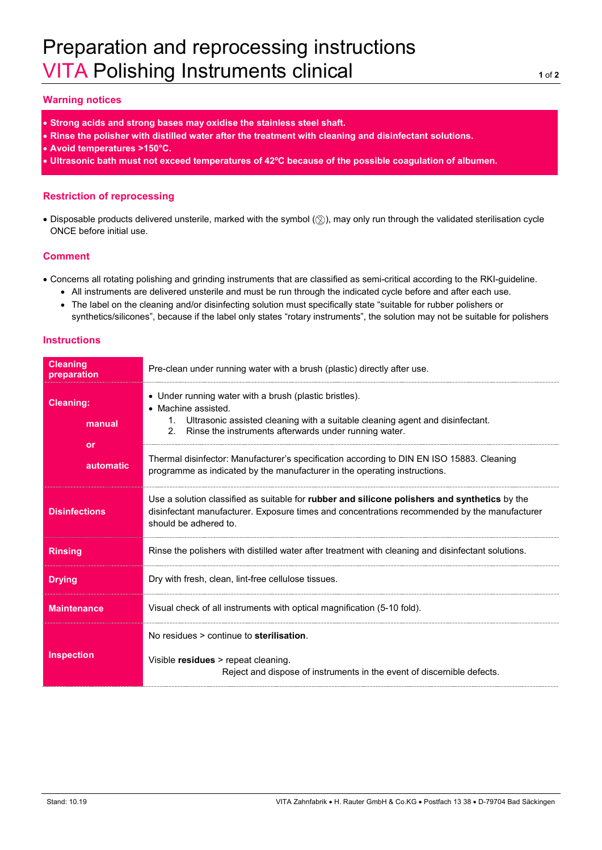# Preparation and reprocessing instructions VITA Polishing Instruments clinical **<sup>1</sup>** of **<sup>2</sup>**

## **Warning notices**

- **Strong acids and strong bases may oxidise the stainless steel shaft.**
- **Rinse the polisher with distilled water after the treatment with cleaning and disinfectant solutions.**
- **Avoid temperatures >150°C.**
- **Ultrasonic bath must not exceed temperatures of 42ºC because of the possible coagulation of albumen.**

### **Restriction of reprocessing**

• Disposable products delivered unsterile, marked with the symbol ( $\circledS$ ), may only run through the validated sterilisation cycle ONCE before initial use.

### **Comment**

- Concerns all rotating polishing and grinding instruments that are classified as semi-critical according to the RKI-guideline.
	- All instruments are delivered unsterile and must be run through the indicated cycle before and after each use.
	- The label on the cleaning and/or disinfecting solution must specifically state "suitable for rubber polishers or synthetics/silicones", because if the label only states "rotary instruments", the solution may not be suitable for polishers

### **Instructions**

| <b>Cleaning</b><br>preparation | Pre-clean under running water with a brush (plastic) directly after use.                                                                                                                                                                        |
|--------------------------------|-------------------------------------------------------------------------------------------------------------------------------------------------------------------------------------------------------------------------------------------------|
| <b>Cleaning:</b><br>manual     | • Under running water with a brush (plastic bristles).<br>• Machine assisted.<br>Ultrasonic assisted cleaning with a suitable cleaning agent and disinfectant.<br>1.<br>Rinse the instruments afterwards under running water.<br>2 <sub>1</sub> |
| or<br><b>automatic</b>         | Thermal disinfector: Manufacturer's specification according to DIN EN ISO 15883. Cleaning<br>programme as indicated by the manufacturer in the operating instructions.                                                                          |
| <b>Disinfections</b>           | Use a solution classified as suitable for rubber and silicone polishers and synthetics by the<br>disinfectant manufacturer. Exposure times and concentrations recommended by the manufacturer<br>should be adhered to.                          |
| <b>Rinsing</b>                 | Rinse the polishers with distilled water after treatment with cleaning and disinfectant solutions.                                                                                                                                              |
| <b>Drying</b>                  | Dry with fresh, clean, lint-free cellulose tissues.                                                                                                                                                                                             |
| <b>Maintenance</b>             | Visual check of all instruments with optical magnification (5-10 fold).                                                                                                                                                                         |
| <b>Inspection</b>              | No residues > continue to sterilisation.<br>Visible residues > repeat cleaning.<br>Reject and dispose of instruments in the event of discernible defects.                                                                                       |